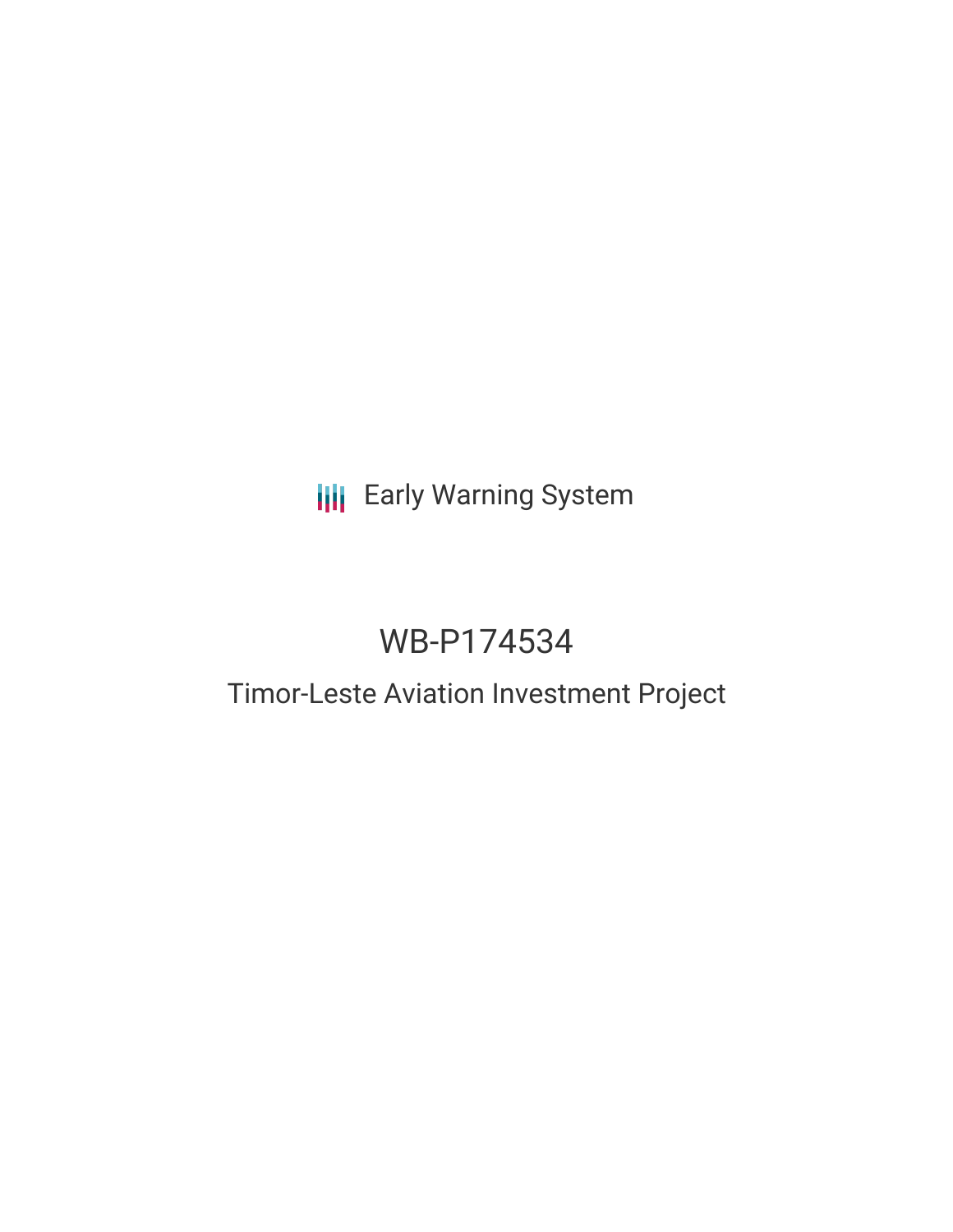## **III** Early Warning System

# WB-P174534

## Timor-Leste Aviation Investment Project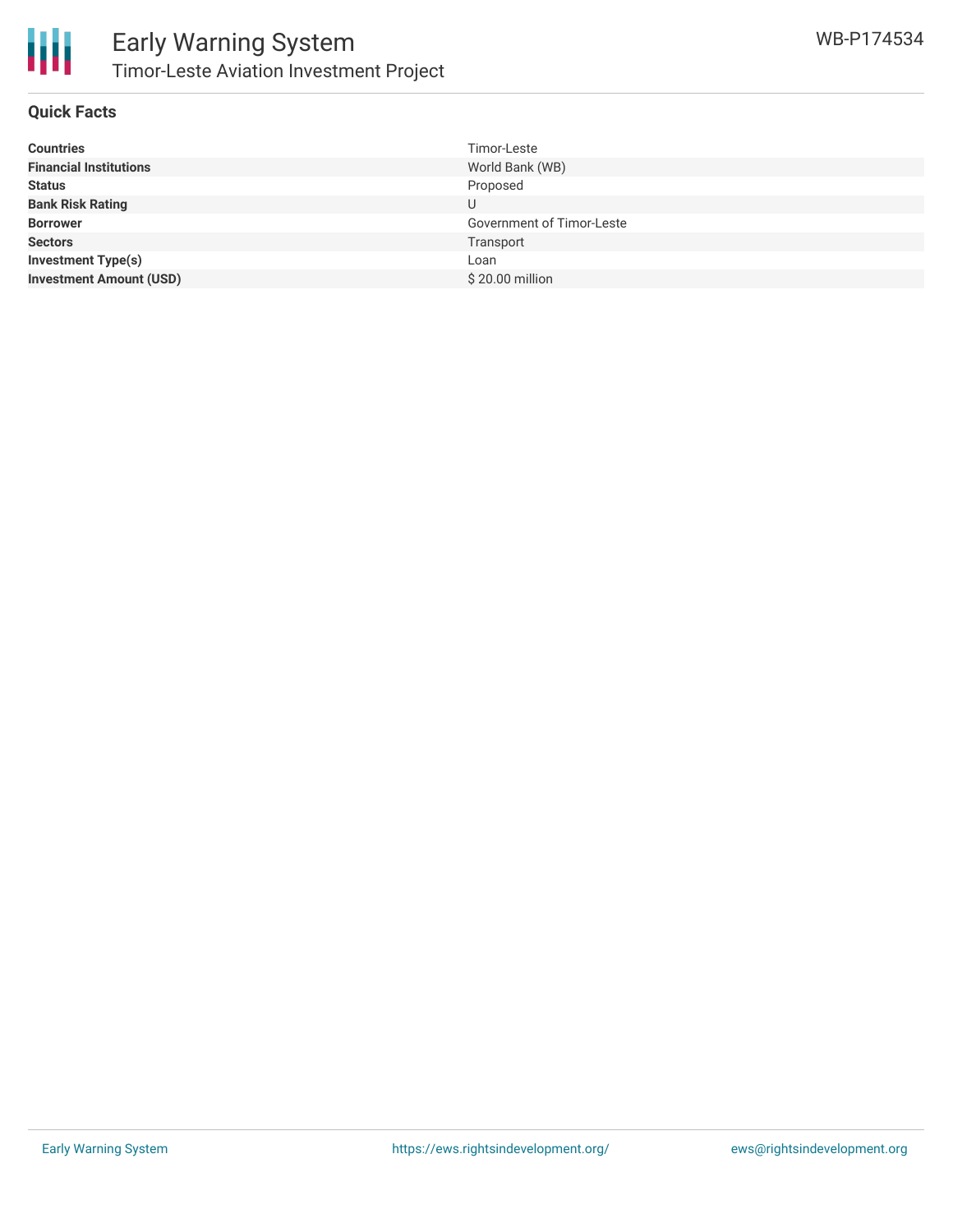

### **Quick Facts**

| <b>Countries</b>               | Timor-Leste                      |
|--------------------------------|----------------------------------|
| <b>Financial Institutions</b>  | World Bank (WB)                  |
| <b>Status</b>                  | Proposed                         |
| <b>Bank Risk Rating</b>        | U                                |
| <b>Borrower</b>                | <b>Government of Timor-Leste</b> |
| <b>Sectors</b>                 | Transport                        |
| <b>Investment Type(s)</b>      | Loan                             |
| <b>Investment Amount (USD)</b> | \$20.00 million                  |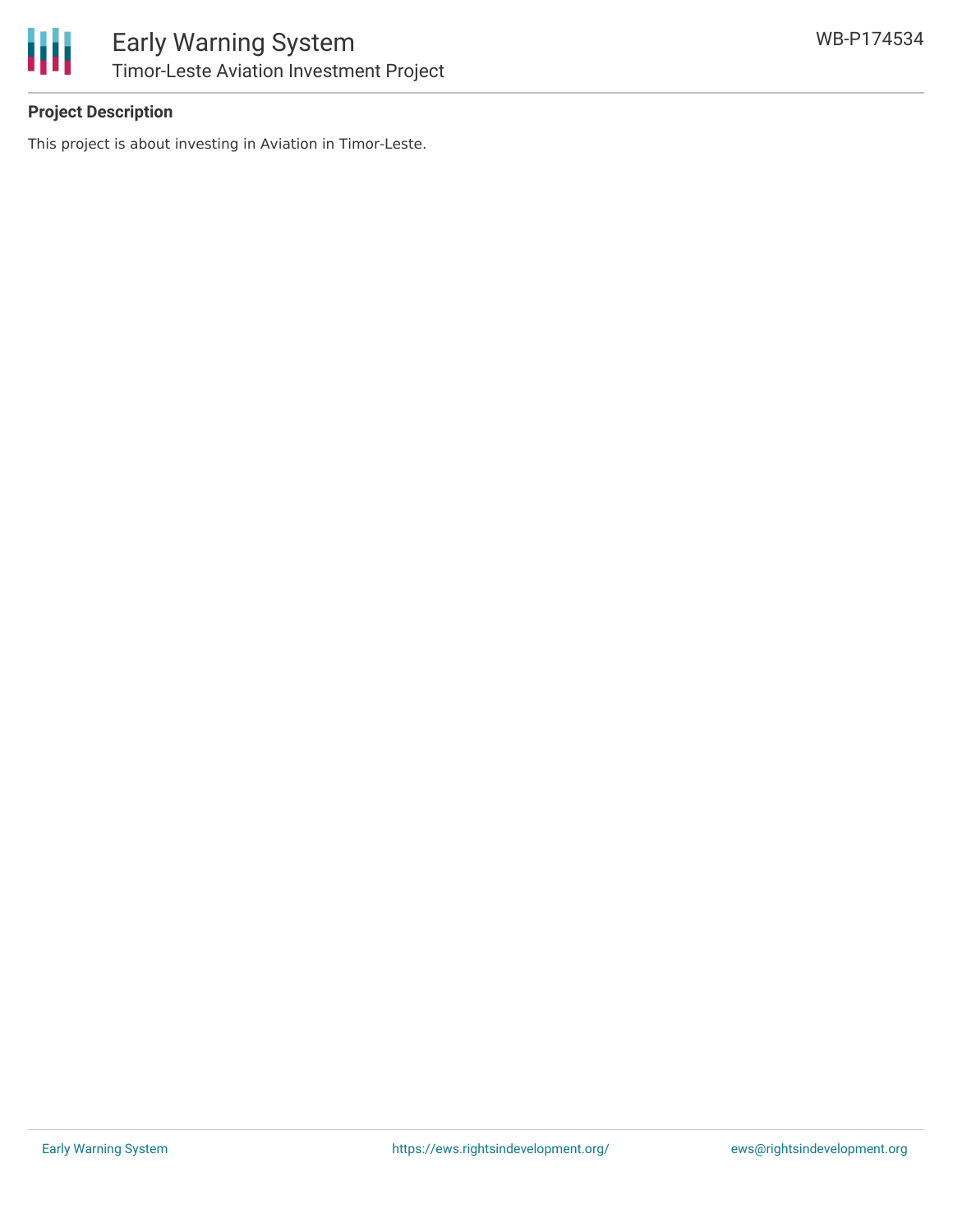

## **Project Description**

This project is about investing in Aviation in Timor-Leste.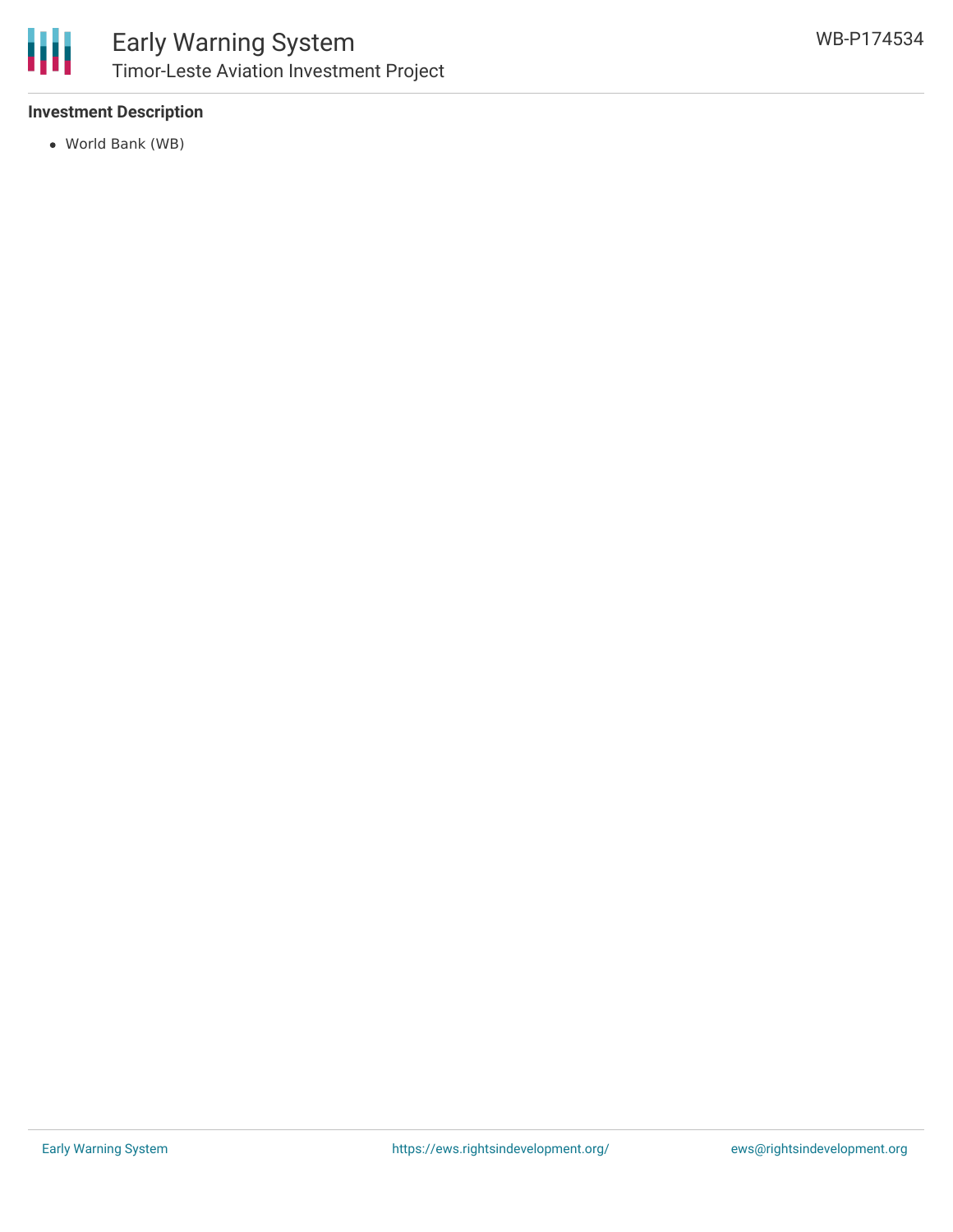

## **Investment Description**

World Bank (WB)